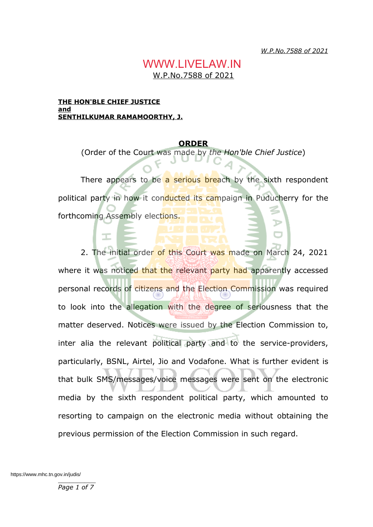*W.P.No.7588 of 2021*

## W.P.No.7588 of 2021 WWW.LIVELAW.IN

#### **THE HON'BLE CHIEF JUSTICE and SENTHILKUMAR RAMAMOORTHY, J.**

### **ORDER**

(Order of the Court was made by *the Hon'ble Chief Justice*)

There appears to be a serious breach by the sixth respondent political party in how it conducted its campaign in Puducherry for the forthcoming Assembly elections.

2. The initial order of this Court was made on March 24, 2021 where it was noticed that the relevant party had apparently accessed personal records of citizens and the Election Commission was required to look into the allegation with the degree of seriousness that the matter deserved. Notices were issued by the Election Commission to, inter alia the relevant political party and to the service-providers, particularly, BSNL, Airtel, Jio and Vodafone. What is further evident is that bulk SMS/messages/voice messages were sent on the electronic media by the sixth respondent political party, which amounted to resorting to campaign on the electronic media without obtaining the previous permission of the Election Commission in such regard.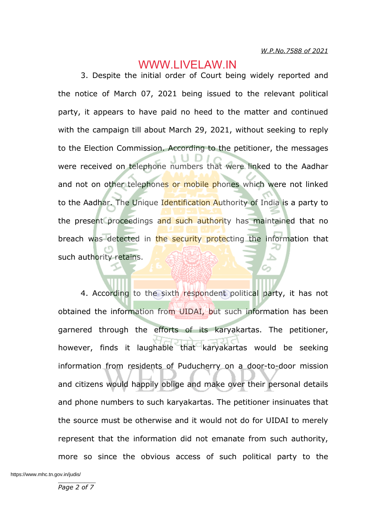3. Despite the initial order of Court being widely reported and the notice of March 07, 2021 being issued to the relevant political party, it appears to have paid no heed to the matter and continued with the campaign till about March 29, 2021, without seeking to reply to the Election Commission. According to the petitioner, the messages were received on telephone numbers that were linked to the Aadhar and not on other telephones or mobile phones which were not linked to the Aadhar. The Unique Identification Authority of India is a party to the present proceedings and such authority has maintained that no breach was detected in the security protecting the information that such authority retains.

4. According to the sixth respondent political party, it has not obtained the information from UIDAI, but such information has been garnered through the efforts of its karyakartas. The petitioner, however, finds it laughable that karyakartas would be seeking information from residents of Puducherry on a door-to-door mission and citizens would happily oblige and make over their personal details and phone numbers to such karyakartas. The petitioner insinuates that the source must be otherwise and it would not do for UIDAI to merely represent that the information did not emanate from such authority, more so since the obvious access of such political party to the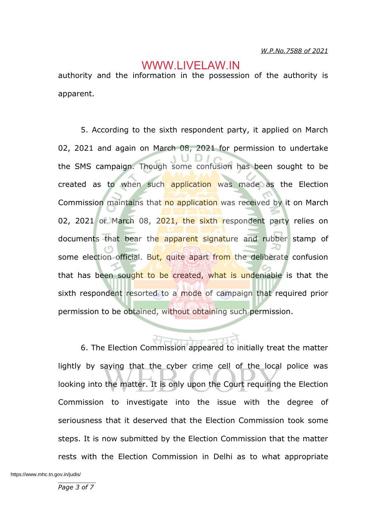authority and the information in the possession of the authority is apparent.

5. According to the sixth respondent party, it applied on March 02, 2021 and again on March 08, 2021 for permission to undertake the SMS campaign. Though some confusion has been sought to be created as to when such application was made as the Election Commission maintains that no application was received by it on March 02, 2021 or March 08, 2021, the sixth respondent party relies on documents that bear the apparent signature and rubber stamp of some election official. But, quite apart from the deliberate confusion that has been sought to be created, what is undeniable is that the sixth respondent resorted to a mode of campaign that required prior permission to be obtained, without obtaining such permission.

6. The Election Commission appeared to initially treat the matter lightly by saying that the cyber crime cell of the local police was looking into the matter. It is only upon the Court requiring the Election Commission to investigate into the issue with the degree of seriousness that it deserved that the Election Commission took some steps. It is now submitted by the Election Commission that the matter rests with the Election Commission in Delhi as to what appropriate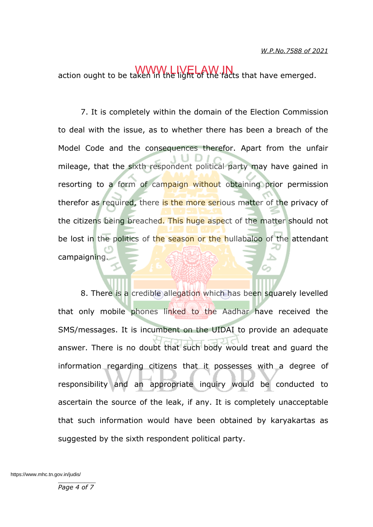action ought to be taken in the light of the facts that have emerged.

7. It is completely within the domain of the Election Commission to deal with the issue, as to whether there has been a breach of the Model Code and the consequences therefor. Apart from the unfair mileage, that the sixth respondent political party may have gained in resorting to a form of campaign without obtaining prior permission therefor as required, there is the more serious matter of the privacy of the citizens being breached. This huge aspect of the matter should not be lost in the politics of the season or the hullabaloo of the attendant campaigning.

8. There is a credible allegation which has been squarely levelled that only mobile phones linked to the Aadhar have received the SMS/messages. It is incumbent on the UIDAI to provide an adequate answer. There is no doubt that such body would treat and guard the information regarding citizens that it possesses with a degree of responsibility and an appropriate inquiry would be conducted to ascertain the source of the leak, if any. It is completely unacceptable that such information would have been obtained by karyakartas as suggested by the sixth respondent political party.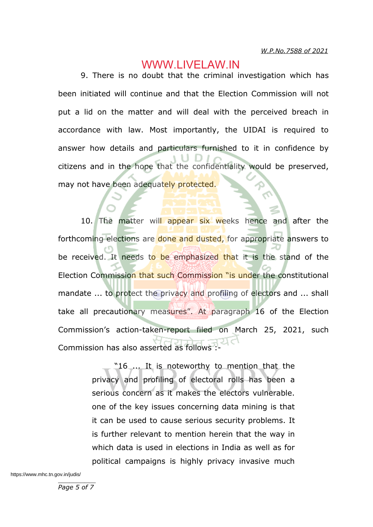9. There is no doubt that the criminal investigation which has been initiated will continue and that the Election Commission will not put a lid on the matter and will deal with the perceived breach in accordance with law. Most importantly, the UIDAI is required to answer how details and particulars furnished to it in confidence by citizens and in the hope that the confidentiality would be preserved, may not have been adequately protected.

10. The matter will appear six weeks hence and after the forthcoming elections are done and dusted, for appropriate answers to be received. It needs to be emphasized that it is the stand of the Election Commission that such Commission "is under the constitutional mandate ... to protect the privacy and profiling of electors and ... shall take all precautionary measures". At paragraph 16 of the Election Commission's action-taken-report filed on March 25, 2021, such Commission has also asserted as follows :

> "16 ... It is noteworthy to mention that the privacy and profiling of electoral rolls has been a serious concern as it makes the electors vulnerable. one of the key issues concerning data mining is that it can be used to cause serious security problems. It is further relevant to mention herein that the way in which data is used in elections in India as well as for political campaigns is highly privacy invasive much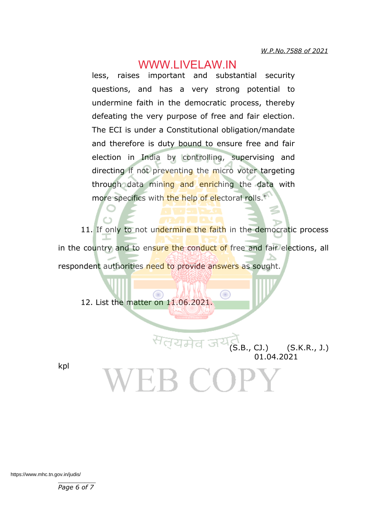less, raises important and substantial security questions, and has a very strong potential to undermine faith in the democratic process, thereby defeating the very purpose of free and fair election. The ECI is under a Constitutional obligation/mandate and therefore is duty bound to ensure free and fair election in India by controlling, supervising and directing if not preventing the micro voter targeting through data mining and enriching the data with more specifics with the help of electoral rolls."

11. If only to not undermine the faith in the democratic process in the country and to ensure the conduct of free and fair elections, all respondent authorities need to provide answers as sought

₩

12. List the matter on 11.06.2021.

kpl

 $(S.B., CJ.)$   $(S.K.R., J.)$ 01.04.2021

\_\_\_\_\_\_\_\_\_\_ https://www.mhc.tn.gov.in/judis/